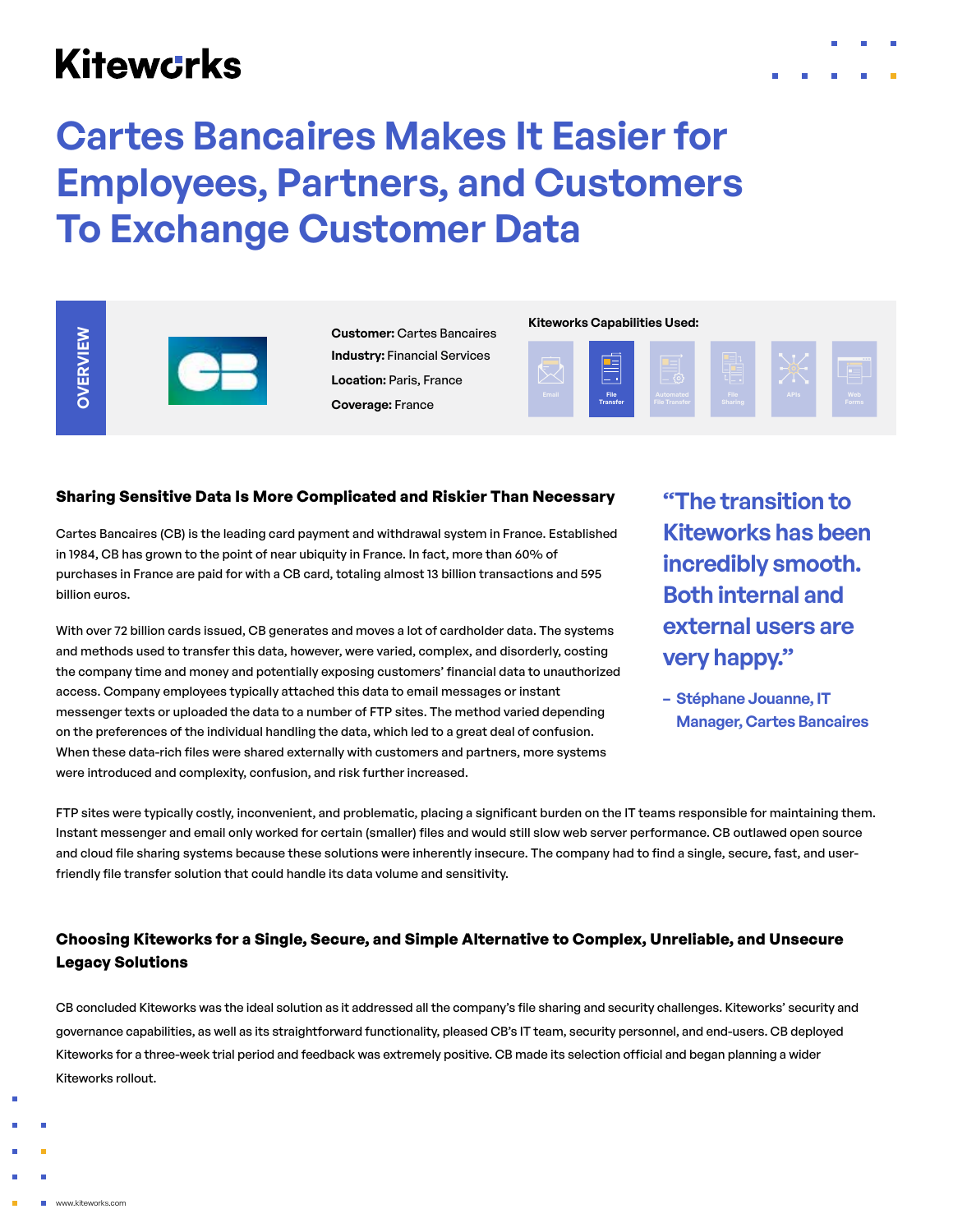# **Kitewcrks**

**OVERVIEW**

OVERVIEW





**Customer:** Cartes Bancaires **Industry:** Financial Services **Location:** Paris, France **Coverage:** France

#### **Kiteworks Capabilities Used:**



#### **Sharing Sensitive Data Is More Complicated and Riskier Than Necessary**

Cartes Bancaires (CB) is the leading card payment and withdrawal system in France. Established in 1984, CB has grown to the point of near ubiquity in France. In fact, more than 60% of purchases in France are paid for with a CB card, totaling almost 13 billion transactions and 595 billion euros.

With over 72 billion cards issued, CB generates and moves a lot of cardholder data. The systems and methods used to transfer this data, however, were varied, complex, and disorderly, costing the company time and money and potentially exposing customers' financial data to unauthorized access. Company employees typically attached this data to email messages or instant messenger texts or uploaded the data to a number of FTP sites. The method varied depending on the preferences of the individual handling the data, which led to a great deal of confusion. When these data-rich files were shared externally with customers and partners, more systems were introduced and complexity, confusion, and risk further increased.

**"The transition to Kiteworks has been incredibly smooth. Both internal and external users are very happy."**

**– Stéphane Jouanne, IT Manager, Cartes Bancaires**

FTP sites were typically costly, inconvenient, and problematic, placing a significant burden on the IT teams responsible for maintaining them. Instant messenger and email only worked for certain (smaller) files and would still slow web server performance. CB outlawed open source and cloud file sharing systems because these solutions were inherently insecure. The company had to find a single, secure, fast, and userfriendly file transfer solution that could handle its data volume and sensitivity.

## **Choosing Kiteworks for a Single, Secure, and Simple Alternative to Complex, Unreliable, and Unsecure Legacy Solutions**

CB concluded Kiteworks was the ideal solution as it addressed all the company's file sharing and security challenges. Kiteworks' security and governance capabilities, as well as its straightforward functionality, pleased CB's IT team, security personnel, and end-users. CB deployed Kiteworks for a three-week trial period and feedback was extremely positive. CB made its selection official and began planning a wider Kiteworks rollout.